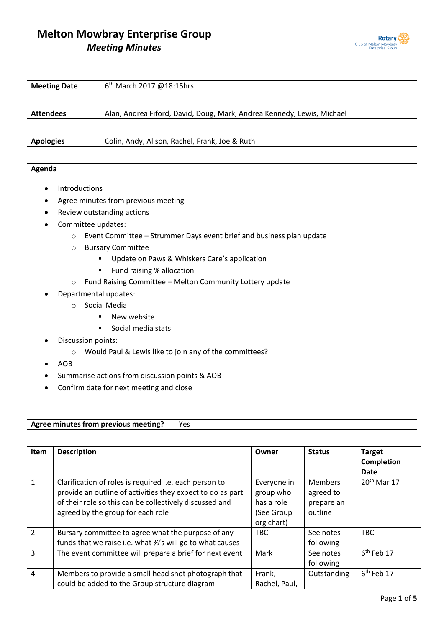

| 6 <sup>th</sup> March 2017 @18:15hrs<br><b>Meeting Date</b>                     |                                                                        |  |
|---------------------------------------------------------------------------------|------------------------------------------------------------------------|--|
|                                                                                 |                                                                        |  |
| <b>Attendees</b>                                                                | Alan, Andrea Fiford, David, Doug, Mark, Andrea Kennedy, Lewis, Michael |  |
|                                                                                 |                                                                        |  |
| <b>Apologies</b>                                                                | Colin, Andy, Alison, Rachel, Frank, Joe & Ruth                         |  |
|                                                                                 |                                                                        |  |
| Agenda                                                                          |                                                                        |  |
|                                                                                 |                                                                        |  |
| Introductions                                                                   |                                                                        |  |
| Agree minutes from previous meeting                                             |                                                                        |  |
| Review outstanding actions                                                      |                                                                        |  |
| Committee updates:                                                              |                                                                        |  |
| Event Committee - Strummer Days event brief and business plan update<br>$\circ$ |                                                                        |  |
| <b>Bursary Committee</b><br>$\circ$                                             |                                                                        |  |
|                                                                                 | Update on Paws & Whiskers Care's application                           |  |
| Fund raising % allocation                                                       |                                                                        |  |
| $\circ$                                                                         | Fund Raising Committee - Melton Community Lottery update               |  |
|                                                                                 | Departmental updates:                                                  |  |
| $\circ$                                                                         | Social Media                                                           |  |
|                                                                                 |                                                                        |  |

- New website
- Social media stats
- Discussion points:
	- o Would Paul & Lewis like to join any of the committees?
- AOB
- Summarise actions from discussion points & AOB
- Confirm date for next meeting and close

Agree minutes from previous meeting? | Yes

| <b>Item</b>    | <b>Description</b>                                                                                                                                                                                                   | Owner                                                              | <b>Status</b>                                        | <b>Target</b><br><b>Completion</b><br><b>Date</b> |
|----------------|----------------------------------------------------------------------------------------------------------------------------------------------------------------------------------------------------------------------|--------------------------------------------------------------------|------------------------------------------------------|---------------------------------------------------|
| 1              | Clarification of roles is required i.e. each person to<br>provide an outline of activities they expect to do as part<br>of their role so this can be collectively discussed and<br>agreed by the group for each role | Everyone in<br>group who<br>has a role<br>(See Group<br>org chart) | <b>Members</b><br>agreed to<br>prepare an<br>outline | $20th$ Mar 17                                     |
| $\mathcal{P}$  | Bursary committee to agree what the purpose of any<br>funds that we raise i.e. what %'s will go to what causes                                                                                                       | TBC                                                                | See notes<br>following                               | <b>TBC</b>                                        |
| 3              | The event committee will prepare a brief for next event                                                                                                                                                              | Mark                                                               | See notes<br>following                               | 6 <sup>th</sup> Feb 17                            |
| $\overline{4}$ | Members to provide a small head shot photograph that<br>could be added to the Group structure diagram                                                                                                                | Frank,<br>Rachel, Paul,                                            | Outstanding                                          | $6th$ Feb 17                                      |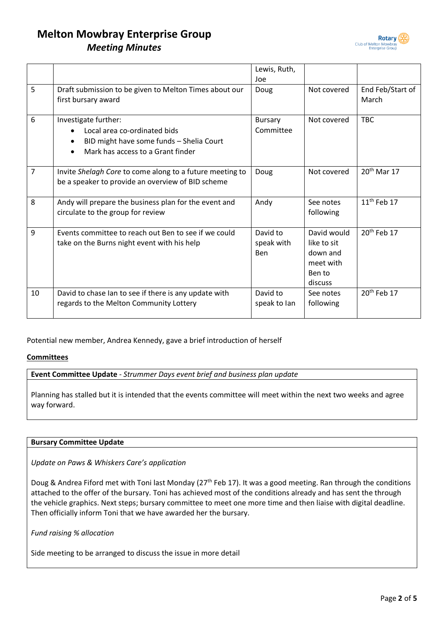

|    |                                                                                                                                       | Lewis, Ruth,<br>Joe           |                                                                          |                           |
|----|---------------------------------------------------------------------------------------------------------------------------------------|-------------------------------|--------------------------------------------------------------------------|---------------------------|
| 5  | Draft submission to be given to Melton Times about our<br>first bursary award                                                         | Doug                          | Not covered                                                              | End Feb/Start of<br>March |
| 6  | Investigate further:<br>Local area co-ordinated bids<br>BID might have some funds - Shelia Court<br>Mark has access to a Grant finder | <b>Bursary</b><br>Committee   | Not covered                                                              | <b>TBC</b>                |
| 7  | Invite Shelagh Core to come along to a future meeting to<br>be a speaker to provide an overview of BID scheme                         | Doug                          | Not covered                                                              | $20th$ Mar 17             |
| 8  | Andy will prepare the business plan for the event and<br>circulate to the group for review                                            | Andy                          | See notes<br>following                                                   | $11th$ Feb 17             |
| 9  | Events committee to reach out Ben to see if we could<br>take on the Burns night event with his help                                   | David to<br>speak with<br>Ben | David would<br>like to sit<br>down and<br>meet with<br>Ben to<br>discuss | 20 <sup>th</sup> Feb 17   |
| 10 | David to chase Ian to see if there is any update with<br>regards to the Melton Community Lottery                                      | David to<br>speak to lan      | See notes<br>following                                                   | 20 <sup>th</sup> Feb 17   |

Potential new member, Andrea Kennedy, gave a brief introduction of herself

#### **Committees**

**Event Committee Update** - *Strummer Days event brief and business plan update*

Planning has stalled but it is intended that the events committee will meet within the next two weeks and agree way forward.

#### **Bursary Committee Update**

*Update on Paws & Whiskers Care's application*

Doug & Andrea Fiford met with Toni last Monday (27<sup>th</sup> Feb 17). It was a good meeting. Ran through the conditions attached to the offer of the bursary. Toni has achieved most of the conditions already and has sent the through the vehicle graphics. Next steps; bursary committee to meet one more time and then liaise with digital deadline. Then officially inform Toni that we have awarded her the bursary.

*Fund raising % allocation*

Side meeting to be arranged to discuss the issue in more detail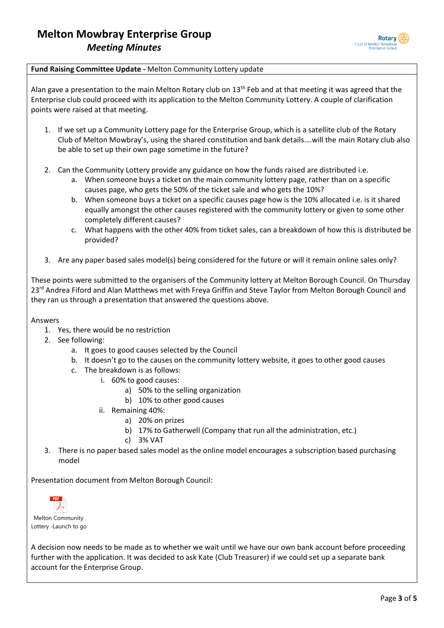

#### **Fund Raising Committee Update -** Melton Community Lottery update

Alan gave a presentation to the main Melton Rotary club on 13<sup>th</sup> Feb and at that meeting it was agreed that the Enterprise club could proceed with its application to the Melton Community Lottery. A couple of clarification points were raised at that meeting.

- 1. If we set up a Community Lottery page for the Enterprise Group, which is a satellite club of the Rotary Club of Melton Mowbray's, using the shared constitution and bank details….will the main Rotary club also be able to set up their own page sometime in the future?
- 2. Can the Community Lottery provide any guidance on how the funds raised are distributed i.e.
	- a. When someone buys a ticket on the main community lottery page, rather than on a specific causes page, who gets the 50% of the ticket sale and who gets the 10%?
	- b. When someone buys a ticket on a specific causes page how is the 10% allocated i.e. is it shared equally amongst the other causes registered with the community lottery or given to some other completely different causes?
	- c. What happens with the other 40% from ticket sales, can a breakdown of how this is distributed be provided?
- 3. Are any paper based sales model(s) being considered for the future or will it remain online sales only?

These points were submitted to the organisers of the Community lottery at Melton Borough Council. On Thursday 23<sup>rd</sup> Andrea Fiford and Alan Matthews met with Freya Griffin and Steve Taylor from Melton Borough Council and they ran us through a presentation that answered the questions above.

Answers

- 1. Yes, there would be no restriction
- 2. See following:
	- a. It goes to good causes selected by the Council
	- b. It doesn't go to the causes on the community lottery website, it goes to other good causes
	- c. The breakdown is as follows:
		- i. 60% to good causes:
			- a) 50% to the selling organization
			- b) 10% to other good causes
			- ii. Remaining 40%:
				- a) 20% on prizes
				- b) 17% to Gatherwell (Company that run all the administration, etc.)
				- c) 3% VAT
- 3. There is no paper based sales model as the online model encourages a subscription based purchasing model

Presentation document from Melton Borough Council:



Melton Community Lottery -Launch to go

A decision now needs to be made as to whether we wait until we have our own bank account before proceeding further with the application. It was decided to ask Kate (Club Treasurer) if we could set up a separate bank account for the Enterprise Group.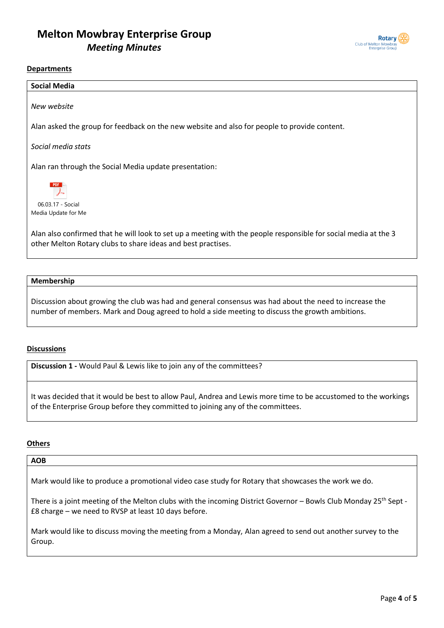

#### **Departments**

| <b>Social Media</b>                                                                                                                                                             |  |  |
|---------------------------------------------------------------------------------------------------------------------------------------------------------------------------------|--|--|
|                                                                                                                                                                                 |  |  |
| New website                                                                                                                                                                     |  |  |
|                                                                                                                                                                                 |  |  |
| Alan asked the group for feedback on the new website and also for people to provide content.                                                                                    |  |  |
|                                                                                                                                                                                 |  |  |
| Social media stats                                                                                                                                                              |  |  |
|                                                                                                                                                                                 |  |  |
| Alan ran through the Social Media update presentation:                                                                                                                          |  |  |
| <b>PDF</b>                                                                                                                                                                      |  |  |
| 06.03.17 - Social                                                                                                                                                               |  |  |
| Media Update for Me                                                                                                                                                             |  |  |
|                                                                                                                                                                                 |  |  |
| Alan also confirmed that he will look to set up a meeting with the people responsible for social media at the 3<br>other Melton Rotary clubs to share ideas and best practises. |  |  |

#### **Membership**

Discussion about growing the club was had and general consensus was had about the need to increase the number of members. Mark and Doug agreed to hold a side meeting to discuss the growth ambitions.

#### **Discussions**

**Discussion 1 -** Would Paul & Lewis like to join any of the committees?

It was decided that it would be best to allow Paul, Andrea and Lewis more time to be accustomed to the workings of the Enterprise Group before they committed to joining any of the committees.

#### **Others**

#### **AOB**

Mark would like to produce a promotional video case study for Rotary that showcases the work we do.

There is a joint meeting of the Melton clubs with the incoming District Governor - Bowls Club Monday 25<sup>th</sup> Sept -£8 charge – we need to RVSP at least 10 days before.

Mark would like to discuss moving the meeting from a Monday, Alan agreed to send out another survey to the Group.